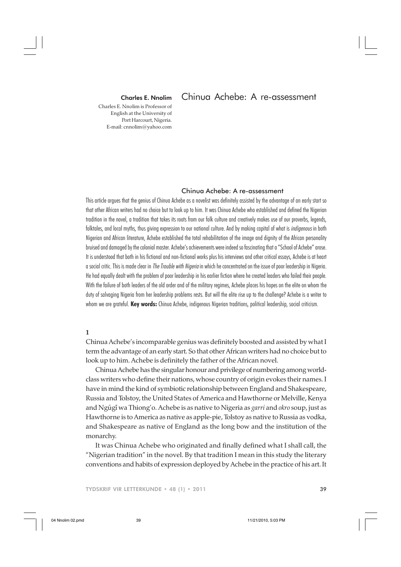### Charles E. Nnolim

Charles E. Nnolim is Professor of English at the University of Port Harcourt, Nigeria. E-mail: cnnolim@yahoo.com

# Chinua Achebe: A re-assessment

Chinua Achebe: A re-assessment

This article argues that the genius of Chinua Achebe as a novelist was definitely assisted by the advantage of an early start so that other African writers had no choice but to look up to him. It was Chinua Achebe who established and defined the Nigerian tradition in the novel, a tradition that takes its roots from our folk culture and creatively makes use of our proverbs, legends, folktales, and local myths, thus giving expression to our national culture. And by making capital of what is *indigenous* in both Nigerian and African literature, Achebe established the total rehabilitation of the image and dignity of the African personality bruised and damaged by the colonial master. Achebe's achievements were indeed so fascinating that a "School of Achebe" arose. It is understood that both in his fictional and non-fictional works plus his interviews and other critical essays, Achebe is at heart a social critic. This is made clear in *The Trouble with Nigeria* in which he concentrated on the issue of poor leadership in Nigeria. He had equally dealt with the problem of poor leadership in his earlier fiction where he created leaders who failed their people. With the failure of both leaders of the old order and of the military regimes, Achebe places his hopes on the elite on whom the duty of salvaging Nigeria from her leadership problems rests. But will the elite rise up to the challenge? Achebe is a writer to whom we are grateful. **Key words:** Chinua Achebe, indigenous Nigerian traditions, political leadership, social criticism.

# **1**

Chinua Achebe's incomparable genius was definitely boosted and assisted by what I term the advantage of an early start. So that other African writers had no choice but to look up to him. Achebe is definitely the father of the African novel.

˜ ˜ and Ngugi wa Thiong'o. Achebe is as native to Nigeria as *garri* and *okro* soup, just as Chinua Achebe has the singular honour and privilege of numbering among worldclass writers who define their nations, whose country of origin evokes their names. I have in mind the kind of symbiotic relationship between England and Shakespeare, Russia and Tolstoy, the United States of America and Hawthorne or Melville, Kenya Hawthorne is to America as native as apple-pie, Tolstoy as native to Russia as vodka, and Shakespeare as native of England as the long bow and the institution of the monarchy.

It was Chinua Achebe who originated and finally defined what I shall call, the "Nigerian tradition" in the novel. By that tradition I mean in this study the literary conventions and habits of expression deployed by Achebe in the practice of his art. It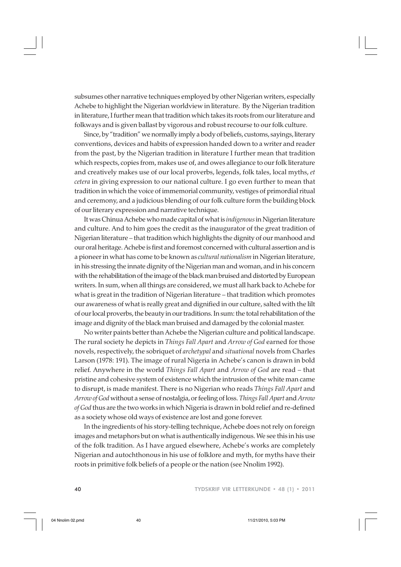subsumes other narrative techniques employed by other Nigerian writers, especially Achebe to highlight the Nigerian worldview in literature. By the Nigerian tradition in literature, I further mean that tradition which takes its roots from our literature and folkways and is given ballast by vigorous and robust recourse to our folk culture.

Since, by "tradition" we normally imply a body of beliefs, customs, sayings, literary conventions, devices and habits of expression handed down to a writer and reader from the past, by the Nigerian tradition in literature I further mean that tradition which respects, copies from, makes use of, and owes allegiance to our folk literature and creatively makes use of our local proverbs, legends, folk tales, local myths, *et cetera* in giving expression to our national culture. I go even further to mean that tradition in which the voice of immemorial community, vestiges of primordial ritual and ceremony, and a judicious blending of our folk culture form the building block of our literary expression and narrative technique.

It was Chinua Achebe who made capital of what is *indigenous* in Nigerian literature and culture. And to him goes the credit as the inaugurator of the great tradition of Nigerian literature – that tradition which highlights the dignity of our manhood and our oral heritage. Achebe is first and foremost concerned with cultural assertion and is a pioneer in what has come to be known as *cultural nationalism* in Nigerian literature, in his stressing the innate dignity of the Nigerian man and woman, and in his concern with the rehabilitation of the image of the black man bruised and distorted by European writers. In sum, when all things are considered, we must all hark back to Achebe for what is great in the tradition of Nigerian literature – that tradition which promotes our awareness of what is really great and dignified in our culture, salted with the lilt of our local proverbs, the beauty in our traditions. In sum: the total rehabilitation of the image and dignity of the black man bruised and damaged by the colonial master.

No writer paints better than Achebe the Nigerian culture and political landscape. The rural society he depicts in *Things Fall Apart* and *Arrow of God* earned for those novels, respectively, the sobriquet of *archetypal* and *situational* novels from Charles Larson (1978: 191). The image of rural Nigeria in Achebe's canon is drawn in bold relief. Anywhere in the world *Things Fall Apart* and *Arrow of God* are read – that pristine and cohesive system of existence which the intrusion of the white man came to disrupt, is made manifest. There is no Nigerian who reads *Things Fall Apart* and *Arrow of God* without a sense of nostalgia, or feeling of loss. *Things Fall Apart* and *Arrow of God* thus are the two works in which Nigeria is drawn in bold relief and re-defined as a society whose old ways of existence are lost and gone forever.

In the ingredients of his story-telling technique, Achebe does not rely on foreign images and metaphors but on what is authentically indigenous. We see this in his use of the folk tradition. As I have argued elsewhere, Achebe's works are completely Nigerian and autochthonous in his use of folklore and myth, for myths have their roots in primitive folk beliefs of a people or the nation (see Nnolim 1992).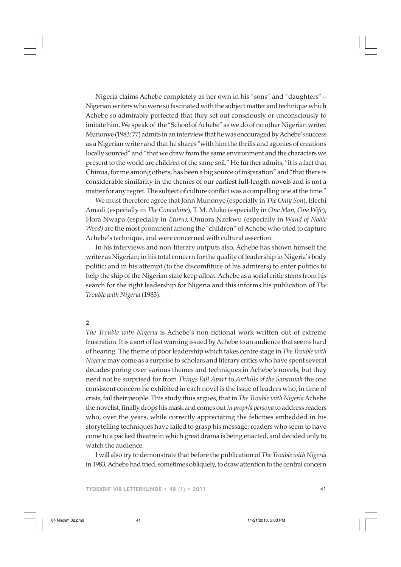Nigeria claims Achebe completely as her own in his "sons" and "daughters" – Nigerian writers who were so fascinated with the subject matter and technique which Achebe so admirably perfected that they set out consciously or unconsciously to imitate him. We speak of the "School of Achebe" as we do of no other Nigerian writer. Munonye (1983: 77) admits in an interview that he was encouraged by Achebe's success as a Nigerian writer and that he shares "with him the thrills and agonies of creations locally sourced" and "that we draw from the same environment and the characters we present to the world are children of the same soil." He further admits, "it is a fact that Chinua, for me among others, has been a big source of inspiration" and "that there is considerable similarity in the themes of our earliest full-length novels and is not a matter for any regret. The subject of culture conflict was a compelling one at the time."

We must therefore agree that John Munonye (especially in *The Only Son*), Elechi Amadi (especially in *The Concubine*), T. M. Aluko (especially in *One Man, One Wife*), Flora Nwapa (especially in *Efuru),* Onuora Nzekwu (especially in *Wand of Noble Wood)* are the most prominent among the "children" of Achebe who tried to capture Achebe's technique, and were concerned with cultural assertion.

In his interviews and non-literary outputs also, Achebe has shown himself the writer as Nigerian; in his total concern for the quality of leadership in Nigeria's body politic; and in his attempt (to the discomfiture of his admirers) to enter politics to help the ship of the Nigerian state keep afloat. Achebe as a social critic stems from his search for the right leadership for Nigeria and this informs his publication of *The Trouble with Nigeria* (1983).

# **2**

*The Trouble with Nigeria* is Achebe's non-fictional work written out of extreme frustration. It is a sort of last warning issued by Achebe to an audience that seems hard of hearing. The theme of poor leadership which takes centre stage in *The Trouble with Nigeria* may come as a surprise to scholars and literary critics who have spent several decades poring over various themes and techniques in Achebe's novels; but they need not be surprised for from *Things Fall Apart* to *Anthills of the Savannah* the one consistent concern he exhibited in each novel is the issue of leaders who, in time of crisis, fail their people. This study thus argues, that in *The Trouble with Nigeria* Achebe the novelist, finally drops his mask and comes out *in propria persona* to address readers who, over the years, while correctly appreciating the felicities embedded in his storytelling techniques have failed to grasp his message; readers who seem to have come to a packed theatre in which great drama is being enacted, and decided only to watch the audience.

I will also try to demonstrate that before the publication of *The Trouble with Nigeria* in 1983, Achebe had tried, sometimes obliquely, to draw attention to the central concern

TYDSKRIF VIR LETTERKUNDE • 48 (1) • 2011 41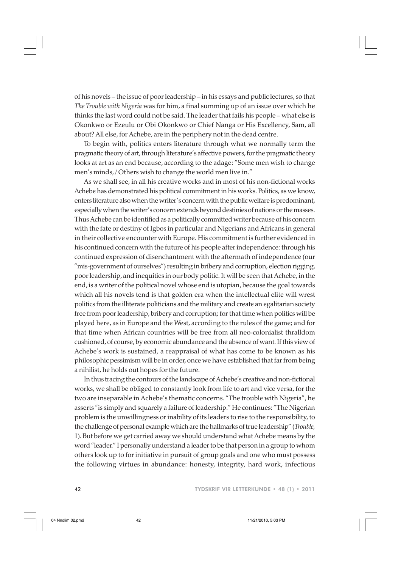of his novels – the issue of poor leadership – in his essays and public lectures, so that *The Trouble with Nigeria* was for him, a final summing up of an issue over which he thinks the last word could not be said. The leader that fails his people – what else is Okonkwo or Ezeulu or Obi Okonkwo or Chief Nanga or His Excellency, Sam, all about? All else, for Achebe, are in the periphery not in the dead centre.

To begin with, politics enters literature through what we normally term the pragmatic theory of art, through literature's affective powers, for the pragmatic theory looks at art as an end because, according to the adage: "Some men wish to change men's minds, / Others wish to change the world men live in."

As we shall see, in all his creative works and in most of his non-fictional works Achebe has demonstrated his political commitment in his works. Politics, as we know, enters literature also when the writer's concern with the public welfare is predominant, especially when the writer's concern extends beyond destinies of nations or the masses. Thus Achebe can be identified as a politically committed writer because of his concern with the fate or destiny of Igbos in particular and Nigerians and Africans in general in their collective encounter with Europe. His commitment is further evidenced in his continued concern with the future of his people after independence: through his continued expression of disenchantment with the aftermath of independence (our "mis-government of ourselves") resulting in bribery and corruption, election rigging, poor leadership, and inequities in our body politic. It will be seen that Achebe, in the end, is a writer of the political novel whose end is utopian, because the goal towards which all his novels tend is that golden era when the intellectual elite will wrest politics from the illiterate politicians and the military and create an egalitarian society free from poor leadership, bribery and corruption; for that time when politics will be played here, as in Europe and the West, according to the rules of the game; and for that time when African countries will be free from all neo-colonialist thralldom cushioned, of course, by economic abundance and the absence of want. If this view of Achebe's work is sustained, a reappraisal of what has come to be known as his philosophic pessimism will be in order, once we have established that far from being a nihilist, he holds out hopes for the future.

In thus tracing the contours of the landscape of Achebe's creative and non-fictional works, we shall be obliged to constantly look from life to art and vice versa, for the two are inseparable in Achebe's thematic concerns. "The trouble with Nigeria", he asserts "is simply and squarely a failure of leadership." He continues: "The Nigerian problem is the unwillingness or inability of its leaders to rise to the responsibility, to the challenge of personal example which are the hallmarks of true leadership" (*Trouble,* 1). But before we get carried away we should understand what Achebe means by the word "leader." I personally understand a leader to be that person in a group to whom others look up to for initiative in pursuit of group goals and one who must possess the following virtues in abundance: honesty, integrity, hard work, infectious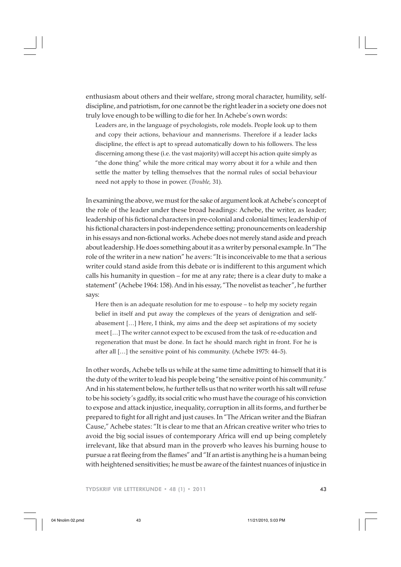enthusiasm about others and their welfare, strong moral character, humility, selfdiscipline, and patriotism, for one cannot be the right leader in a society one does not truly love enough to be willing to die for her. In Achebe's own words:

Leaders are, in the language of psychologists, role models. People look up to them and copy their actions, behaviour and mannerisms. Therefore if a leader lacks discipline, the effect is apt to spread automatically down to his followers. The less discerning among these (i.e. the vast majority) will accept his action quite simply as "the done thing" while the more critical may worry about it for a while and then settle the matter by telling themselves that the normal rules of social behaviour need not apply to those in power. (*Trouble,* 31).

In examining the above, we must for the sake of argument look at Achebe's concept of the role of the leader under these broad headings: Achebe, the writer, as leader; leadership of his fictional characters in pre-colonial and colonial times; leadership of his fictional characters in post-independence setting; pronouncements on leadership in his essays and non-fictional works. Achebe does not merely stand aside and preach about leadership. He does something about it as a writer by personal example. In "The role of the writer in a new nation" he avers: "It is inconceivable to me that a serious writer could stand aside from this debate or is indifferent to this argument which calls his humanity in question – for me at any rate; there is a clear duty to make a statement" (Achebe 1964: 158). And in his essay, "The novelist as teacher", he further says:

Here then is an adequate resolution for me to espouse – to help my society regain belief in itself and put away the complexes of the years of denigration and selfabasement […] Here, I think, my aims and the deep set aspirations of my society meet […] The writer cannot expect to be excused from the task of re-education and regeneration that must be done. In fact he should march right in front. For he is after all […] the sensitive point of his community. (Achebe 1975: 44–5).

In other words, Achebe tells us while at the same time admitting to himself that it is the duty of the writer to lead his people being "the sensitive point of his community." And in his statement below, he further tells us that no writer worth his salt will refuse to be his society's gadfly, its social critic who must have the courage of his conviction to expose and attack injustice, inequality, corruption in all its forms, and further be prepared to fight for all right and just causes. In "The African writer and the Biafran Cause," Achebe states: "It is clear to me that an African creative writer who tries to avoid the big social issues of contemporary Africa will end up being completely irrelevant, like that absurd man in the proverb who leaves his burning house to pursue a rat fleeing from the flames" and "If an artist is anything he is a human being with heightened sensitivities; he must be aware of the faintest nuances of injustice in

TYDSKRIF VIR LETTERKUNDE • 48 (1) • 2011 43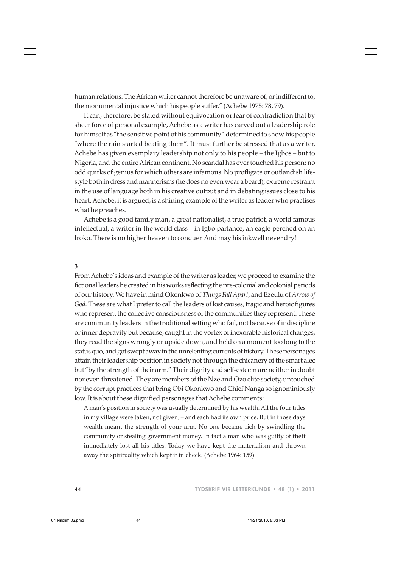human relations. The African writer cannot therefore be unaware of, or indifferent to, the monumental injustice which his people suffer." (Achebe 1975: 78, 79).

It can, therefore, be stated without equivocation or fear of contradiction that by sheer force of personal example, Achebe as a writer has carved out a leadership role for himself as "the sensitive point of his community" determined to show his people "where the rain started beating them". It must further be stressed that as a writer, Achebe has given exemplary leadership not only to his people – the Igbos – but to Nigeria, and the entire African continent. No scandal has ever touched his person; no odd quirks of genius for which others are infamous. No profligate or outlandish lifestyle both in dress and mannerisms (he does no even wear a beard); extreme restraint in the use of language both in his creative output and in debating issues close to his heart. Achebe, it is argued, is a shining example of the writer as leader who practises what he preaches.

Achebe is a good family man, a great nationalist, a true patriot, a world famous intellectual, a writer in the world class – in Igbo parlance, an eagle perched on an Iroko. There is no higher heaven to conquer. And may his inkwell never dry!

## **3**

From Achebe's ideas and example of the writer as leader, we proceed to examine the fictional leaders he created in his works reflecting the pre-colonial and colonial periods of our history. We have in mind Okonkwo of *Things Fall Apart*, and Ezeulu of *Arrow of God.* These are what I prefer to call the leaders of lost causes, tragic and heroic figures who represent the collective consciousness of the communities they represent. These are community leaders in the traditional setting who fail, not because of indiscipline or inner depravity but because, caught in the vortex of inexorable historical changes, they read the signs wrongly or upside down, and held on a moment too long to the status quo, and got swept away in the unrelenting currents of history. These personages attain their leadership position in society not through the chicanery of the smart alec but "by the strength of their arm." Their dignity and self-esteem are neither in doubt nor even threatened. They are members of the Nze and Ozo elite society, untouched by the corrupt practices that bring Obi Okonkwo and Chief Nanga so ignominiously low. It is about these dignified personages that Achebe comments:

A man's position in society was usually determined by his wealth. All the four titles in my village were taken, not given, – and each had its own price. But in those days wealth meant the strength of your arm. No one became rich by swindling the community or stealing government money. In fact a man who was guilty of theft immediately lost all his titles. Today we have kept the materialism and thrown away the spirituality which kept it in check. (Achebe 1964: 159).

44 TYDSKRIF VIR LETTERKUNDE • 48 (1) • 2011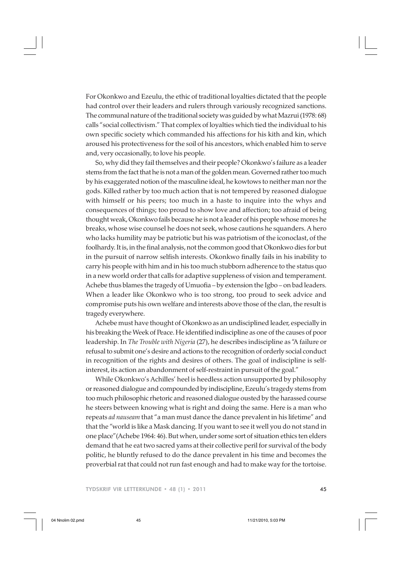For Okonkwo and Ezeulu, the ethic of traditional loyalties dictated that the people had control over their leaders and rulers through variously recognized sanctions. The communal nature of the traditional society was guided by what Mazrui (1978: 68) calls "social collectivism." That complex of loyalties which tied the individual to his own specific society which commanded his affections for his kith and kin, which aroused his protectiveness for the soil of his ancestors, which enabled him to serve and, very occasionally, to love his people.

So, why did they fail themselves and their people? Okonkwo's failure as a leader stems from the fact that he is not a man of the golden mean. Governed rather too much by his exaggerated notion of the masculine ideal, he kowtows to neither man nor the gods. Killed rather by too much action that is not tempered by reasoned dialogue with himself or his peers; too much in a haste to inquire into the whys and consequences of things; too proud to show love and affection; too afraid of being thought weak, Okonkwo fails because he is not a leader of his people whose mores he breaks, whose wise counsel he does not seek, whose cautions he squanders. A hero who lacks humility may be patriotic but his was patriotism of the iconoclast, of the foolhardy. It is, in the final analysis, not the common good that Okonkwo dies for but in the pursuit of narrow selfish interests. Okonkwo finally fails in his inability to carry his people with him and in his too much stubborn adherence to the status quo in a new world order that calls for adaptive suppleness of vision and temperament. Achebe thus blames the tragedy of Umuofia – by extension the Igbo – on bad leaders. When a leader like Okonkwo who is too strong, too proud to seek advice and compromise puts his own welfare and interests above those of the clan, the result is tragedy everywhere.

Achebe must have thought of Okonkwo as an undisciplined leader, especially in his breaking the Week of Peace. He identified indiscipline as one of the causes of poor leadership. In *The Trouble with Nigeria* (27), he describes indiscipline as "A failure or refusal to submit one's desire and actions to the recognition of orderly social conduct in recognition of the rights and desires of others. The goal of indiscipline is selfinterest, its action an abandonment of self-restraint in pursuit of the goal."

While Okonkwo's Achilles' heel is heedless action unsupported by philosophy or reasoned dialogue and compounded by indiscipline, Ezeulu's tragedy stems from too much philosophic rhetoric and reasoned dialogue ousted by the harassed course he steers between knowing what is right and doing the same. Here is a man who repeats *ad nauseam* that "a man must dance the dance prevalent in his lifetime" and that the "world is like a Mask dancing. If you want to see it well you do not stand in one place"(Achebe 1964: 46). But when, under some sort of situation ethics ten elders demand that he eat two sacred yams at their collective peril for survival of the body politic, he bluntly refused to do the dance prevalent in his time and becomes the proverbial rat that could not run fast enough and had to make way for the tortoise.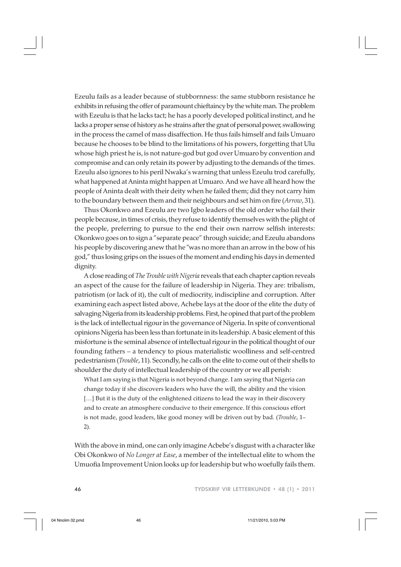Ezeulu fails as a leader because of stubbornness: the same stubborn resistance he exhibits in refusing the offer of paramount chieftaincy by the white man. The problem with Ezeulu is that he lacks tact; he has a poorly developed political instinct, and he lacks a proper sense of history as he strains after the gnat of personal power, swallowing in the process the camel of mass disaffection. He thus fails himself and fails Umuaro because he chooses to be blind to the limitations of his powers, forgetting that Ulu whose high priest he is, is not nature-god but god over Umuaro by convention and compromise and can only retain its power by adjusting to the demands of the times. Ezeulu also ignores to his peril Nwaka's warning that unless Ezeulu trod carefully, what happened at Aninta might happen at Umuaro. And we have all heard how the people of Aninta dealt with their deity when he failed them; did they not carry him to the boundary between them and their neighbours and set him on fire (*Arrow*, 31).

Thus Okonkwo and Ezeulu are two Igbo leaders of the old order who fail their people because, in times of crisis, they refuse to identify themselves with the plight of the people, preferring to pursue to the end their own narrow selfish interests: Okonkwo goes on to sign a "separate peace" through suicide; and Ezeulu abandons his people by discovering anew that he "was no more than an arrow in the bow of his god," thus losing grips on the issues of the moment and ending his days in demented dignity.

A close reading of *The Trouble with Nigeria* reveals that each chapter caption reveals an aspect of the cause for the failure of leadership in Nigeria. They are: tribalism, patriotism (or lack of it), the cult of mediocrity, indiscipline and corruption. After examining each aspect listed above, Achebe lays at the door of the elite the duty of salvaging Nigeria from its leadership problems. First, he opined that part of the problem is the lack of intellectual rigour in the governance of Nigeria. In spite of conventional opinions Nigeria has been less than fortunate in its leadership. A basic element of this misfortune is the seminal absence of intellectual rigour in the political thought of our founding fathers – a tendency to pious materialistic woolliness and self-centred pedestrianism (*Trouble*, 11). Secondly, he calls on the elite to come out of their shells to shoulder the duty of intellectual leadership of the country or we all perish:

What I am saying is that Nigeria is not beyond change. I am saying that Nigeria can change today if she discovers leaders who have the will, the ability and the vision [...] But it is the duty of the enlightened citizens to lead the way in their discovery and to create an atmosphere conducive to their emergence. If this conscious effort is not made, good leaders, like good money will be driven out by bad. (*Trouble*, 1– 2).

With the above in mind, one can only imagine Acbebe's disgust with a character like Obi Okonkwo of *No Longer at Ease*, a member of the intellectual elite to whom the Umuofia Improvement Union looks up for leadership but who woefully fails them.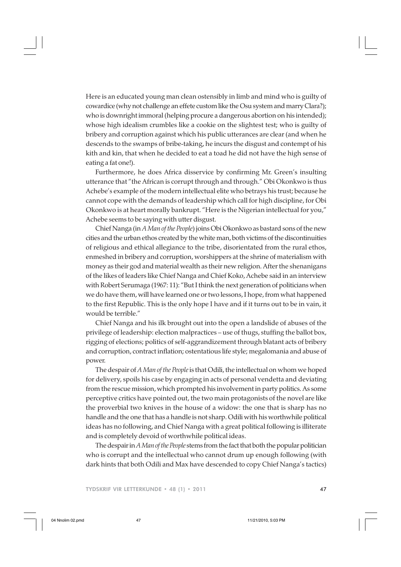Here is an educated young man clean ostensibly in limb and mind who is guilty of cowardice (why not challenge an effete custom like the Osu system and marry Clara?); who is downright immoral (helping procure a dangerous abortion on his intended); whose high idealism crumbles like a cookie on the slightest test; who is guilty of bribery and corruption against which his public utterances are clear (and when he descends to the swamps of bribe-taking, he incurs the disgust and contempt of his kith and kin, that when he decided to eat a toad he did not have the high sense of eating a fat one!).

Furthermore, he does Africa disservice by confirming Mr. Green's insulting utterance that "the African is corrupt through and through." Obi Okonkwo is thus Achebe's example of the modern intellectual elite who betrays his trust; because he cannot cope with the demands of leadership which call for high discipline, for Obi Okonkwo is at heart morally bankrupt. "Here is the Nigerian intellectual for you," Achebe seems to be saying with utter disgust.

Chief Nanga (in *A Man of the People*) joins Obi Okonkwo as bastard sons of the new cities and the urban ethos created by the white man, both victims of the discontinuities of religious and ethical allegiance to the tribe, disorientated from the rural ethos, enmeshed in bribery and corruption, worshippers at the shrine of materialism with money as their god and material wealth as their new religion. After the shenanigans of the likes of leaders like Chief Nanga and Chief Koko, Achebe said in an interview with Robert Serumaga (1967: 11): "But I think the next generation of politicians when we do have them, will have learned one or two lessons, I hope, from what happened to the first Republic. This is the only hope I have and if it turns out to be in vain, it would be terrible."

Chief Nanga and his ilk brought out into the open a landslide of abuses of the privilege of leadership: election malpractices – use of thugs, stuffing the ballot box, rigging of elections; politics of self-aggrandizement through blatant acts of bribery and corruption, contract inflation; ostentatious life style; megalomania and abuse of power.

The despair of *A Man of the People* is that Odili, the intellectual on whom we hoped for delivery, spoils his case by engaging in acts of personal vendetta and deviating from the rescue mission, which prompted his involvement in party politics. As some perceptive critics have pointed out, the two main protagonists of the novel are like the proverbial two knives in the house of a widow: the one that is sharp has no handle and the one that has a handle is not sharp. Odili with his worthwhile political ideas has no following, and Chief Nanga with a great political following is illiterate and is completely devoid of worthwhile political ideas.

The despair in *A Man of the People* stems from the fact that both the popular politician who is corrupt and the intellectual who cannot drum up enough following (with dark hints that both Odili and Max have descended to copy Chief Nanga's tactics)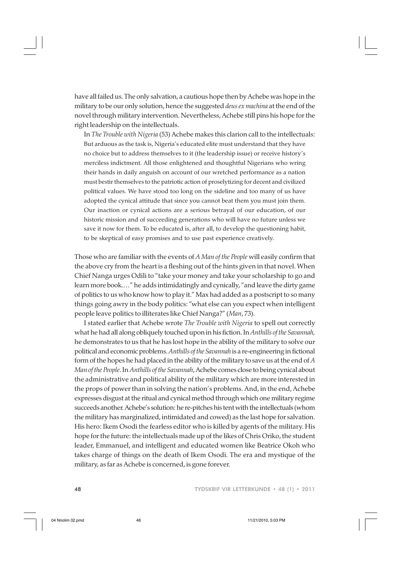have all failed us. The only salvation, a cautious hope then by Achebe was hope in the military to be our only solution, hence the suggested *deus ex machina* at the end of the novel through military intervention. Nevertheless, Achebe still pins his hope for the right leadership on the intellectuals.

In *The Trouble with Nigeria* (53) Achebe makes this clarion call to the intellectuals: But arduous as the task is, Nigeria's educated elite must understand that they have no choice but to address themselves to it (the leadership issue) or receive history's merciless indictment. All those enlightened and thoughtful Nigerians who wring their hands in daily anguish on account of our wretched performance as a nation must bestir themselves to the patriotic action of proselytizing for decent and civilized political values. We have stood too long on the sideline and too many of us have adopted the cynical attitude that since you cannot beat them you must join them. Our inaction or cynical actions are a serious betrayal of our education, of our historic mission and of succeeding generations who will have no future unless we save it now for them. To be educated is, after all, to develop the questioning habit, to be skeptical of easy promises and to use past experience creatively.

Those who are familiar with the events of *A Man of the People* will easily confirm that the above cry from the heart is a fleshing out of the hints given in that novel. When Chief Nanga urges Odili to "take your money and take your scholarship to go and learn more book.…" he adds intimidatingly and cynically, "and leave the dirty game of politics to us who know how to play it." Max had added as a postscript to so many things going awry in the body politics: "what else can you expect when intelligent people leave politics to illiterates like Chief Nanga?" (*Man*, 73).

I stated earlier that Achebe wrote *The Trouble with Nigeria* to spell out correctly what he had all along obliquely touched upon in his fiction. In *Anthills of the Savannah,* he demonstrates to us that he has lost hope in the ability of the military to solve our political and economic problems. *Anthills of the Savannah* is a re-engineering in fictional form of the hopes he had placed in the ability of the military to save us at the end of *A Man of the People*. In *Anthills of the Savannah*, Achebe comes close to being cynical about the administrative and political ability of the military which are more interested in the props of power than in solving the nation's problems. And, in the end, Achebe expresses disgust at the ritual and cynical method through which one military regime succeeds another. Achebe's solution: he re-pitches his tent with the intellectuals (whom the military has marginalized, intimidated and cowed) as the last hope for salvation. His hero: Ikem Osodi the fearless editor who is killed by agents of the military. His hope for the future: the intellectuals made up of the likes of Chris Oriko, the student leader, Emmanuel, and intelligent and educated women like Beatrice Okoh who takes charge of things on the death of Ikem Osodi. The era and mystique of the military, as far as Achebe is concerned, is gone forever.

48 TYDSKRIF VIR LETTERKUNDE • 48 (1) • 2011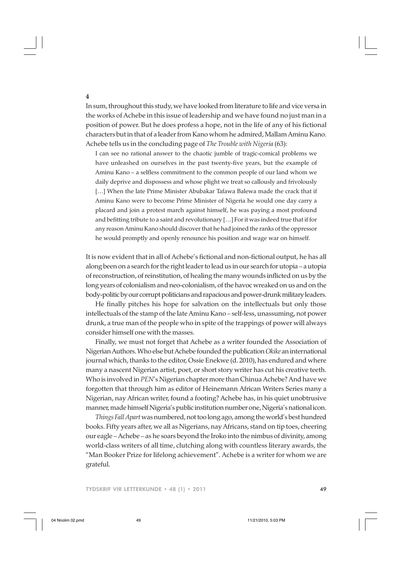In sum, throughout this study, we have looked from literature to life and vice versa in the works of Achebe in this issue of leadership and we have found no just man in a position of power. But he does profess a hope, not in the life of any of his fictional characters but in that of a leader from Kano whom he admired, Mallam Aminu Kano. Achebe tells us in the concluding page of *The Trouble with Nigeria* (63):

I can see no rational answer to the chaotic jumble of tragic-comical problems we have unleashed on ourselves in the past twenty-five years, but the example of Aminu Kano – a selfless commitment to the common people of our land whom we daily deprive and dispossess and whose plight we treat so callously and frivolously [...] When the late Prime Minister Abubakar Tafawa Balewa made the crack that if Aminu Kano were to become Prime Minister of Nigeria he would one day carry a placard and join a protest march against himself, he was paying a most profound and befitting tribute to a saint and revolutionary […] For it was indeed true that if for any reason Aminu Kano should discover that he had joined the ranks of the oppressor he would promptly and openly renounce his position and wage war on himself.

It is now evident that in all of Achebe's fictional and non-fictional output, he has all along been on a search for the right leader to lead us in our search for utopia – a utopia of reconstruction, of reinstitution, of healing the many wounds inflicted on us by the long years of colonialism and neo-colonialism, of the havoc wreaked on us and on the body-politic by our corrupt politicians and rapacious and power-drunk military leaders.

He finally pitches his hope for salvation on the intellectuals but only those intellectuals of the stamp of the late Aminu Kano – self-less, unassuming, not power drunk, a true man of the people who in spite of the trappings of power will always consider himself one with the masses.

Finally, we must not forget that Achebe as a writer founded the Association of Nigerian Authors. Who else but Achebe founded the publication *Okike* an international journal which, thanks to the editor, Ossie Enekwe (d. 2010), has endured and where many a nascent Nigerian artist, poet, or short story writer has cut his creative teeth. Who is involved in *PEN*'s Nigerian chapter more than Chinua Achebe? And have we forgotten that through him as editor of Heinemann African Writers Series many a Nigerian, nay African writer, found a footing? Achebe has, in his quiet unobtrusive manner, made himself Nigeria's public institution number one, Nigeria's national icon.

*Things Fall Apart* was numbered, not too long ago, among the world's best hundred books. Fifty years after, we all as Nigerians, nay Africans, stand on tip toes, cheering our eagle – Achebe – as he soars beyond the Iroko into the nimbus of divinity, among world-class writers of all time, clutching along with countless literary awards, the "Man Booker Prize for lifelong achievement". Achebe is a writer for whom we are grateful.

**4**